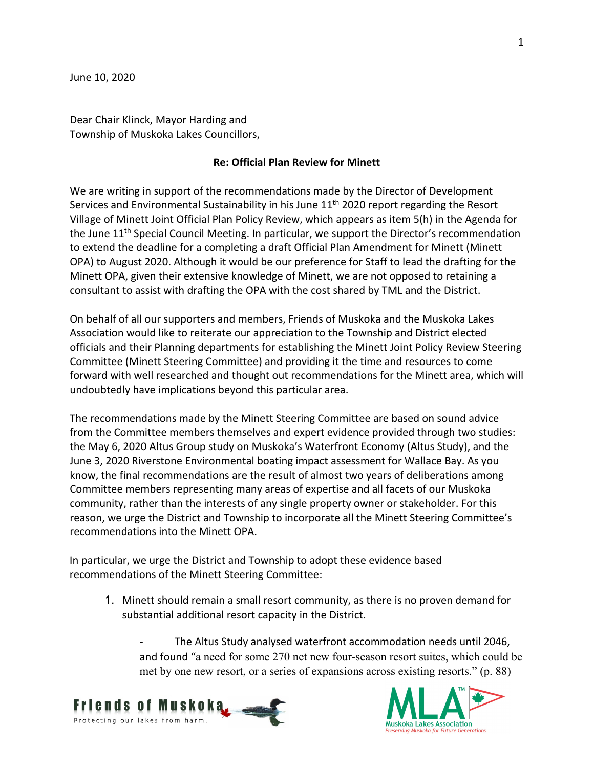Dear Chair Klinck, Mayor Harding and Township of Muskoka Lakes Councillors,

## **Re: Official Plan Review for Minett**

We are writing in support of the recommendations made by the Director of Development Services and Environmental Sustainability in his June 11<sup>th</sup> 2020 report regarding the Resort Village of Minett Joint Official Plan Policy Review, which appears as item 5(h) in the Agenda for the June 11<sup>th</sup> Special Council Meeting. In particular, we support the Director's recommendation to extend the deadline for a completing a draft Official Plan Amendment for Minett (Minett OPA) to August 2020. Although it would be our preference for Staff to lead the drafting for the Minett OPA, given their extensive knowledge of Minett, we are not opposed to retaining a consultant to assist with drafting the OPA with the cost shared by TML and the District.

On behalf of all our supporters and members, Friends of Muskoka and the Muskoka Lakes Association would like to reiterate our appreciation to the Township and District elected officials and their Planning departments for establishing the Minett Joint Policy Review Steering Committee (Minett Steering Committee) and providing it the time and resources to come forward with well researched and thought out recommendations for the Minett area, which will undoubtedly have implications beyond this particular area.

The recommendations made by the Minett Steering Committee are based on sound advice from the Committee members themselves and expert evidence provided through two studies: the May 6, 2020 Altus Group study on Muskoka's Waterfront Economy (Altus Study), and the June 3, 2020 Riverstone Environmental boating impact assessment for Wallace Bay. As you know, the final recommendations are the result of almost two years of deliberations among Committee members representing many areas of expertise and all facets of our Muskoka community, rather than the interests of any single property owner or stakeholder. For this reason, we urge the District and Township to incorporate all the Minett Steering Committee's recommendations into the Minett OPA.

In particular, we urge the District and Township to adopt these evidence based recommendations of the Minett Steering Committee:

1. Minett should remain a small resort community, as there is no proven demand for substantial additional resort capacity in the District.

The Altus Study analysed waterfront accommodation needs until 2046, and found "a need for some 270 net new four-season resort suites, which could be met by one new resort, or a series of expansions across existing resorts." (p. 88)



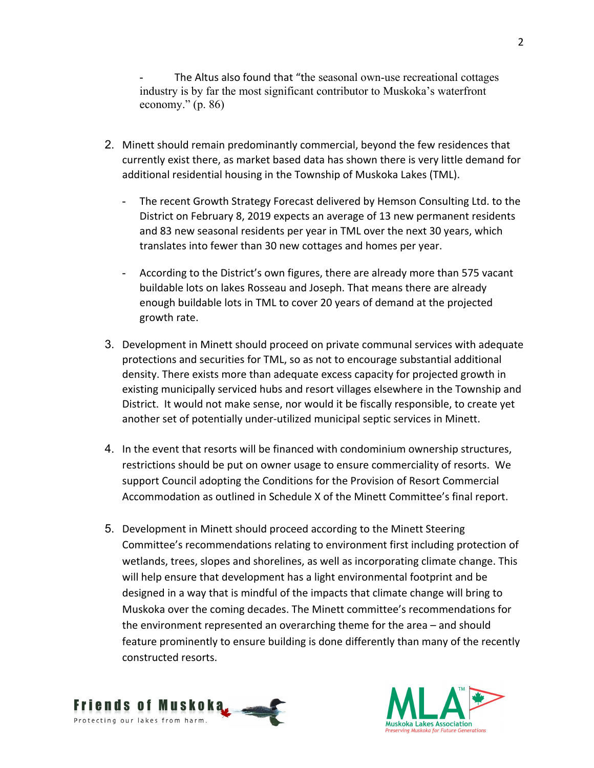The Altus also found that "the seasonal own-use recreational cottages industry is by far the most significant contributor to Muskoka's waterfront economy." (p. 86)

- 2. Minett should remain predominantly commercial, beyond the few residences that currently exist there, as market based data has shown there is very little demand for additional residential housing in the Township of Muskoka Lakes (TML).
	- The recent Growth Strategy Forecast delivered by Hemson Consulting Ltd. to the District on February 8, 2019 expects an average of 13 new permanent residents and 83 new seasonal residents per year in TML over the next 30 years, which translates into fewer than 30 new cottages and homes per year.
	- According to the District's own figures, there are already more than 575 vacant buildable lots on lakes Rosseau and Joseph. That means there are already enough buildable lots in TML to cover 20 years of demand at the projected growth rate.
- 3. Development in Minett should proceed on private communal services with adequate protections and securities for TML, so as not to encourage substantial additional density. There exists more than adequate excess capacity for projected growth in existing municipally serviced hubs and resort villages elsewhere in the Township and District. It would not make sense, nor would it be fiscally responsible, to create yet another set of potentially under-utilized municipal septic services in Minett.
- 4. In the event that resorts will be financed with condominium ownership structures, restrictions should be put on owner usage to ensure commerciality of resorts. We support Council adopting the Conditions for the Provision of Resort Commercial Accommodation as outlined in Schedule X of the Minett Committee's final report.
- 5. Development in Minett should proceed according to the Minett Steering Committee's recommendations relating to environment first including protection of wetlands, trees, slopes and shorelines, as well as incorporating climate change. This will help ensure that development has a light environmental footprint and be designed in a way that is mindful of the impacts that climate change will bring to Muskoka over the coming decades. The Minett committee's recommendations for the environment represented an overarching theme for the area – and should feature prominently to ensure building is done differently than many of the recently constructed resorts.